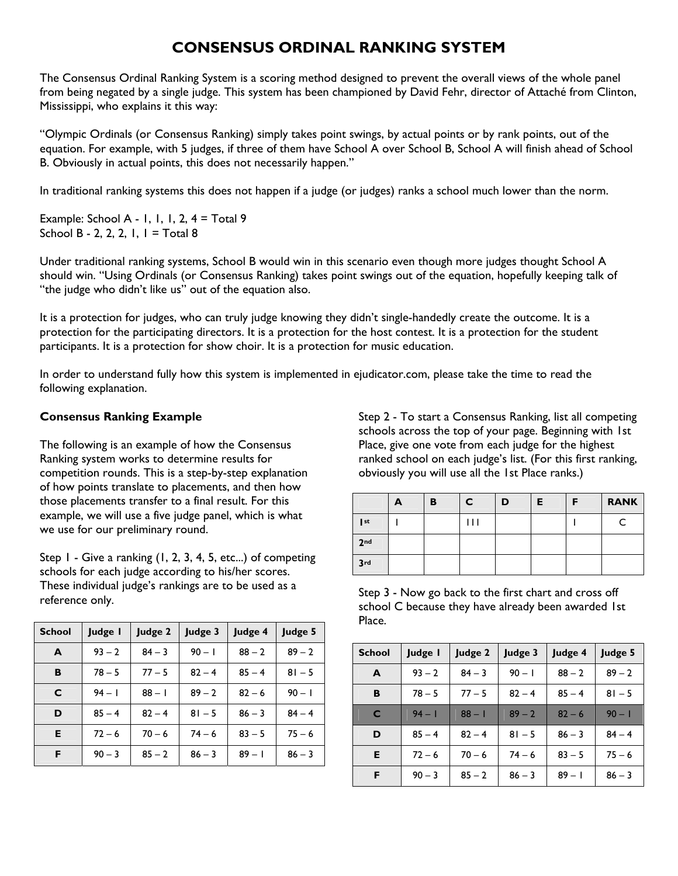## **CONSENSUS ORDINAL RANKING SYSTEM**

The Consensus Ordinal Ranking System is a scoring method designed to prevent the overall views of the whole panel from being negated by a single judge. This system has been championed by David Fehr, director of Attaché from Clinton, Mississippi, who explains it this way:

"Olympic Ordinals (or Consensus Ranking) simply takes point swings, by actual points or by rank points, out of the equation. For example, with 5 judges, if three of them have School A over School B, School A will finish ahead of School B. Obviously in actual points, this does not necessarily happen."

In traditional ranking systems this does not happen if a judge (or judges) ranks a school much lower than the norm.

Example: School A - 1, 1, 1, 2,  $4 = \text{Total } 9$ School B - 2, 2, 2, 1,  $I = \text{Total } 8$ 

Under traditional ranking systems, School B would win in this scenario even though more judges thought School A should win. "Using Ordinals (or Consensus Ranking) takes point swings out of the equation, hopefully keeping talk of "the judge who didn't like us" out of the equation also.

It is a protection for judges, who can truly judge knowing they didn't single-handedly create the outcome. It is a protection for the participating directors. It is a protection for the host contest. It is a protection for the student participants. It is a protection for show choir. It is a protection for music education.

In order to understand fully how this system is implemented in ejudicator.com, please take the time to read the following explanation.

## **Consensus Ranking Example**

The following is an example of how the Consensus Ranking system works to determine results for competition rounds. This is a step-by-step explanation of how points translate to placements, and then how those placements transfer to a final result. For this example, we will use a five judge panel, which is what we use for our preliminary round.

Step 1 - Give a ranking (1, 2, 3, 4, 5, etc...) of competing schools for each judge according to his/her scores. These individual judge's rankings are to be used as a reference only.

| <b>School</b> | Judge I  | Judge 2  | Judge 3  | Judge 4  | Judge 5  |
|---------------|----------|----------|----------|----------|----------|
| A             | $93 - 2$ | $84 - 3$ | $90 - 1$ | $88 - 2$ | $89 - 2$ |
| в             | $78 - 5$ | $77 - 5$ | $82 - 4$ | $85 - 4$ | $81 - 5$ |
| C             | $94 - 1$ | $88 - 1$ | $89 - 2$ | $82 - 6$ | $90 - 1$ |
| D             | $85 - 4$ | $82 - 4$ | $81 - 5$ | $86 - 3$ | $84 - 4$ |
| Е             | $72 - 6$ | $70 - 6$ | $74 - 6$ | $83 - 5$ | $75 - 6$ |
| F             | $90 - 3$ | $85 - 2$ | $86 - 3$ | $89 - 1$ | $86 - 3$ |

Step 2 - To start a Consensus Ranking, list all competing schools across the top of your page. Beginning with 1st Place, give one vote from each judge for the highest ranked school on each judge's list. (For this first ranking, obviously you will use all the 1st Place ranks.)

|                 | A | в | C | D | E. | F | <b>RANK</b> |
|-----------------|---|---|---|---|----|---|-------------|
| $ $ st          |   |   | Ш |   |    |   |             |
| 2 <sub>nd</sub> |   |   |   |   |    |   |             |
| 3rd             |   |   |   |   |    |   |             |

Step 3 - Now go back to the first chart and cross off school C because they have already been awarded 1st Place.

| <b>School</b> | Judge I  | Judge 2  | Judge 3  | Judge 4  | Judge 5  |
|---------------|----------|----------|----------|----------|----------|
| A             | $93 - 2$ | $84 - 3$ | $90 - 1$ | $88 - 2$ | $89 - 2$ |
| B             | $78 - 5$ | $77 - 5$ | $82 - 4$ | $85 - 4$ | $81 - 5$ |
| C             | $94 - 1$ | $88 - 1$ | $89 - 2$ | $82 - 6$ | $90 - 1$ |
| D             | $85 - 4$ | $82 - 4$ | $81 - 5$ | $86 - 3$ | $84 - 4$ |
| Е             | $72 - 6$ | $70 - 6$ | $74 - 6$ | $83 - 5$ | $75 - 6$ |
| F             | $90 - 3$ | $85 - 2$ | $86 - 3$ | $89 - 1$ | $86 - 3$ |